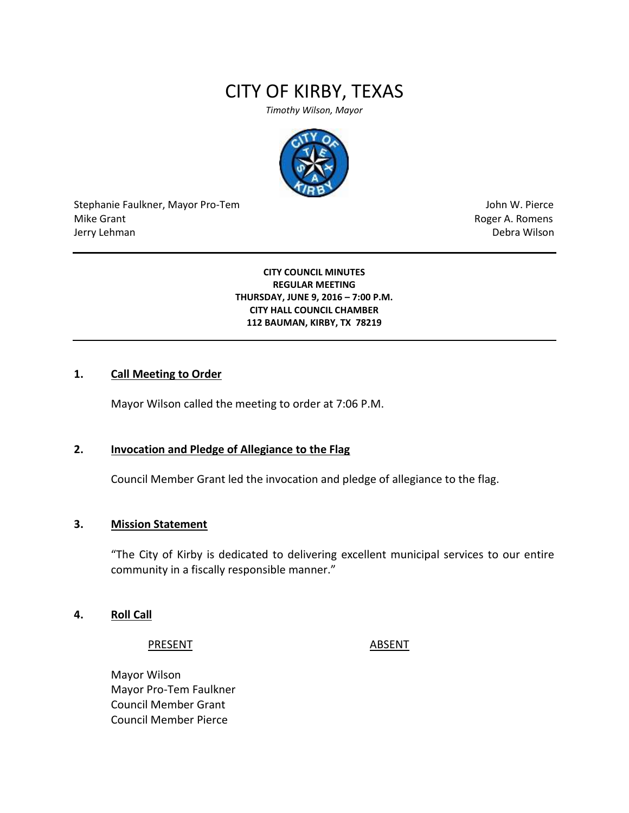# CITY OF KIRBY, TEXAS

*Timothy Wilson, Mayor*



Stephanie Faulkner, Mayor Pro-Tem John W. Pierce Mike Grant **Mike Grant** Roger A. Romens **Contract A. Romens Roger A. Romens** Jerry Lehman Debra Wilson

**CITY COUNCIL MINUTES REGULAR MEETING THURSDAY, JUNE 9, 2016 – 7:00 P.M. CITY HALL COUNCIL CHAMBER 112 BAUMAN, KIRBY, TX 78219**

## **1. Call Meeting to Order**

Mayor Wilson called the meeting to order at 7:06 P.M.

## **2. Invocation and Pledge of Allegiance to the Flag**

Council Member Grant led the invocation and pledge of allegiance to the flag.

## **3. Mission Statement**

"The City of Kirby is dedicated to delivering excellent municipal services to our entire community in a fiscally responsible manner."

## **4. Roll Call**

PRESENT ABSENT

Mayor Wilson Mayor Pro-Tem Faulkner Council Member Grant Council Member Pierce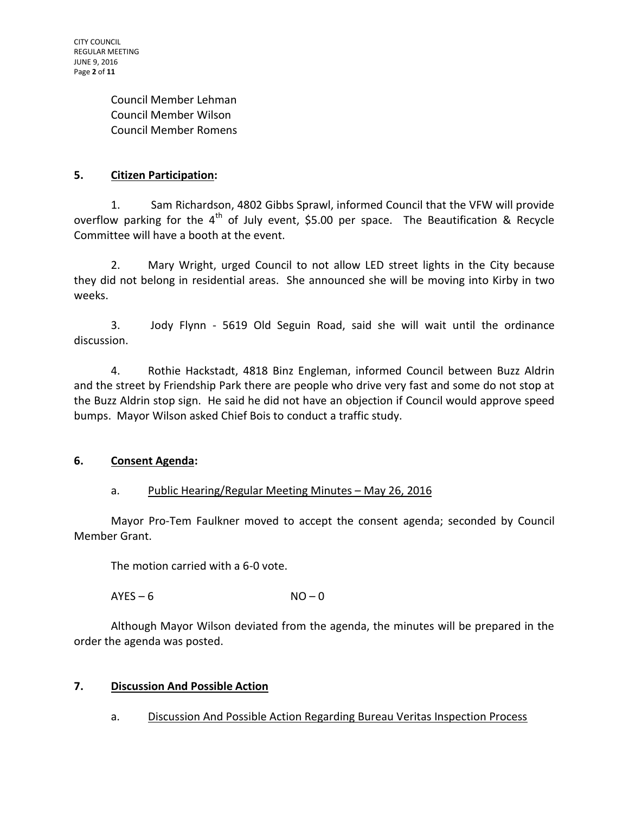Council Member Lehman Council Member Wilson Council Member Romens

# **5. Citizen Participation:**

1. Sam Richardson, 4802 Gibbs Sprawl, informed Council that the VFW will provide overflow parking for the  $4<sup>th</sup>$  of July event, \$5.00 per space. The Beautification & Recycle Committee will have a booth at the event.

2. Mary Wright, urged Council to not allow LED street lights in the City because they did not belong in residential areas. She announced she will be moving into Kirby in two weeks.

3. Jody Flynn - 5619 Old Seguin Road, said she will wait until the ordinance discussion.

4. Rothie Hackstadt, 4818 Binz Engleman, informed Council between Buzz Aldrin and the street by Friendship Park there are people who drive very fast and some do not stop at the Buzz Aldrin stop sign. He said he did not have an objection if Council would approve speed bumps. Mayor Wilson asked Chief Bois to conduct a traffic study.

# **6. Consent Agenda:**

# a. Public Hearing/Regular Meeting Minutes - May 26, 2016

Mayor Pro-Tem Faulkner moved to accept the consent agenda; seconded by Council Member Grant.

The motion carried with a 6-0 vote.

 $AYES - 6$   $NO - 0$ 

Although Mayor Wilson deviated from the agenda, the minutes will be prepared in the order the agenda was posted.

# **7. Discussion And Possible Action**

a. Discussion And Possible Action Regarding Bureau Veritas Inspection Process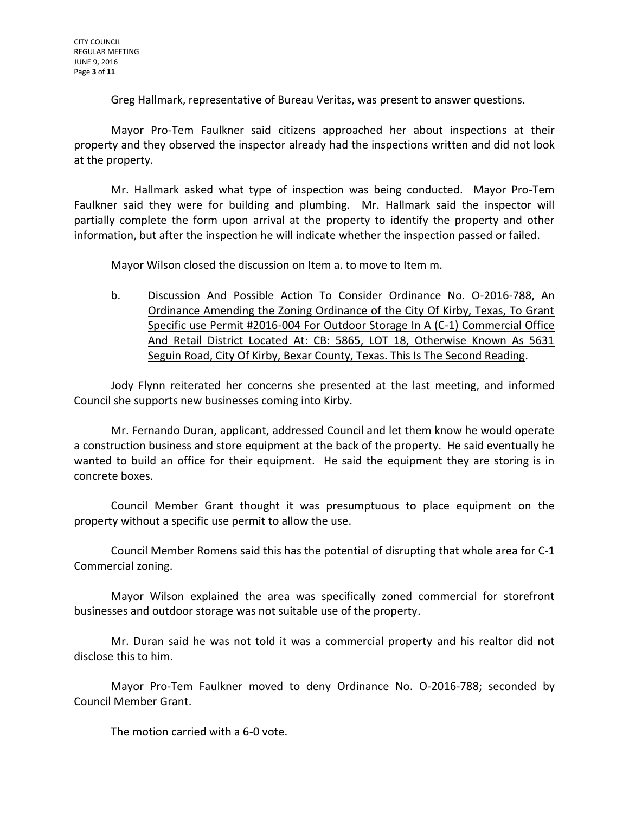Greg Hallmark, representative of Bureau Veritas, was present to answer questions.

Mayor Pro-Tem Faulkner said citizens approached her about inspections at their property and they observed the inspector already had the inspections written and did not look at the property.

Mr. Hallmark asked what type of inspection was being conducted. Mayor Pro-Tem Faulkner said they were for building and plumbing. Mr. Hallmark said the inspector will partially complete the form upon arrival at the property to identify the property and other information, but after the inspection he will indicate whether the inspection passed or failed.

Mayor Wilson closed the discussion on Item a. to move to Item m.

b. Discussion And Possible Action To Consider Ordinance No. O-2016-788, An Ordinance Amending the Zoning Ordinance of the City Of Kirby, Texas, To Grant Specific use Permit #2016-004 For Outdoor Storage In A (C-1) Commercial Office And Retail District Located At: CB: 5865, LOT 18, Otherwise Known As 5631 Seguin Road, City Of Kirby, Bexar County, Texas. This Is The Second Reading.

Jody Flynn reiterated her concerns she presented at the last meeting, and informed Council she supports new businesses coming into Kirby.

Mr. Fernando Duran, applicant, addressed Council and let them know he would operate a construction business and store equipment at the back of the property. He said eventually he wanted to build an office for their equipment. He said the equipment they are storing is in concrete boxes.

Council Member Grant thought it was presumptuous to place equipment on the property without a specific use permit to allow the use.

Council Member Romens said this has the potential of disrupting that whole area for C-1 Commercial zoning.

Mayor Wilson explained the area was specifically zoned commercial for storefront businesses and outdoor storage was not suitable use of the property.

Mr. Duran said he was not told it was a commercial property and his realtor did not disclose this to him.

Mayor Pro-Tem Faulkner moved to deny Ordinance No. O-2016-788; seconded by Council Member Grant.

The motion carried with a 6-0 vote.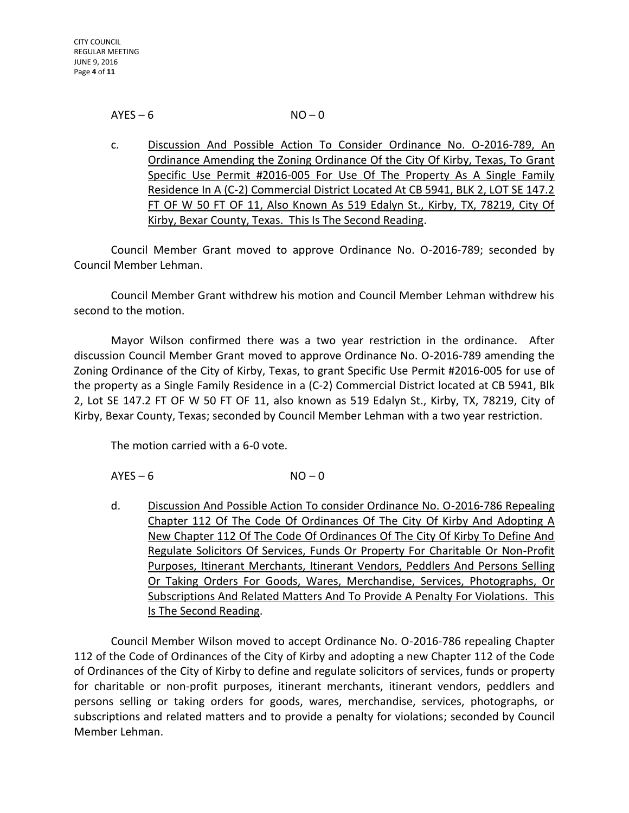#### $AYES - 6$   $NO - 0$

c. Discussion And Possible Action To Consider Ordinance No. O-2016-789, An Ordinance Amending the Zoning Ordinance Of the City Of Kirby, Texas, To Grant Specific Use Permit #2016-005 For Use Of The Property As A Single Family Residence In A (C-2) Commercial District Located At CB 5941, BLK 2, LOT SE 147.2 FT OF W 50 FT OF 11, Also Known As 519 Edalyn St., Kirby, TX, 78219, City Of Kirby, Bexar County, Texas. This Is The Second Reading.

Council Member Grant moved to approve Ordinance No. O-2016-789; seconded by Council Member Lehman.

Council Member Grant withdrew his motion and Council Member Lehman withdrew his second to the motion.

Mayor Wilson confirmed there was a two year restriction in the ordinance. After discussion Council Member Grant moved to approve Ordinance No. O-2016-789 amending the Zoning Ordinance of the City of Kirby, Texas, to grant Specific Use Permit #2016-005 for use of the property as a Single Family Residence in a (C-2) Commercial District located at CB 5941, Blk 2, Lot SE 147.2 FT OF W 50 FT OF 11, also known as 519 Edalyn St., Kirby, TX, 78219, City of Kirby, Bexar County, Texas; seconded by Council Member Lehman with a two year restriction.

The motion carried with a 6-0 vote.

 $AYES - 6$   $NO - 0$ 

d. Discussion And Possible Action To consider Ordinance No. O-2016-786 Repealing Chapter 112 Of The Code Of Ordinances Of The City Of Kirby And Adopting A New Chapter 112 Of The Code Of Ordinances Of The City Of Kirby To Define And Regulate Solicitors Of Services, Funds Or Property For Charitable Or Non-Profit Purposes, Itinerant Merchants, Itinerant Vendors, Peddlers And Persons Selling Or Taking Orders For Goods, Wares, Merchandise, Services, Photographs, Or Subscriptions And Related Matters And To Provide A Penalty For Violations. This Is The Second Reading.

Council Member Wilson moved to accept Ordinance No. O-2016-786 repealing Chapter 112 of the Code of Ordinances of the City of Kirby and adopting a new Chapter 112 of the Code of Ordinances of the City of Kirby to define and regulate solicitors of services, funds or property for charitable or non-profit purposes, itinerant merchants, itinerant vendors, peddlers and persons selling or taking orders for goods, wares, merchandise, services, photographs, or subscriptions and related matters and to provide a penalty for violations; seconded by Council Member Lehman.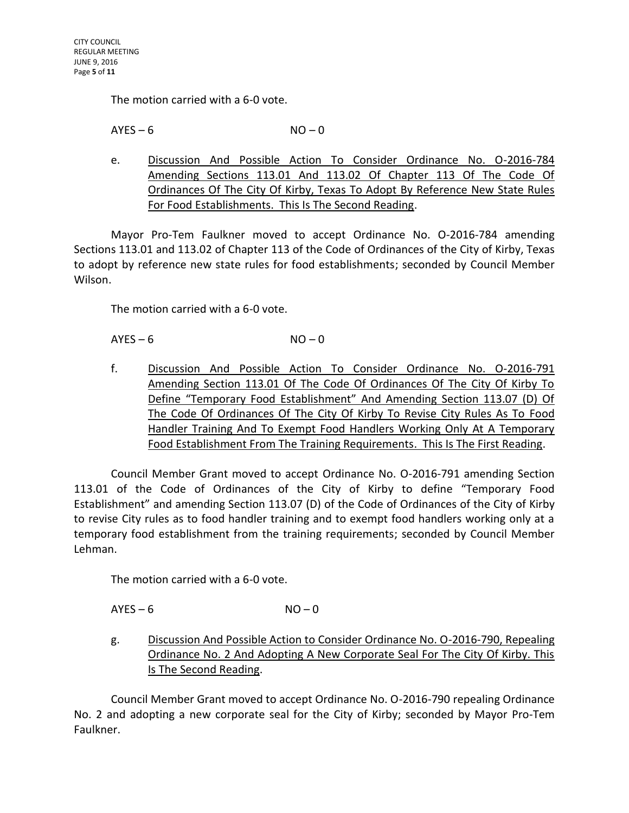The motion carried with a 6-0 vote.

 $AYES - 6$   $NO - 0$ 

e. Discussion And Possible Action To Consider Ordinance No. O-2016-784 Amending Sections 113.01 And 113.02 Of Chapter 113 Of The Code Of Ordinances Of The City Of Kirby, Texas To Adopt By Reference New State Rules For Food Establishments. This Is The Second Reading.

Mayor Pro-Tem Faulkner moved to accept Ordinance No. O-2016-784 amending Sections 113.01 and 113.02 of Chapter 113 of the Code of Ordinances of the City of Kirby, Texas to adopt by reference new state rules for food establishments; seconded by Council Member Wilson.

The motion carried with a 6-0 vote.

 $AYES - 6$   $NO - 0$ 

f. Discussion And Possible Action To Consider Ordinance No. O-2016-791 Amending Section 113.01 Of The Code Of Ordinances Of The City Of Kirby To Define "Temporary Food Establishment" And Amending Section 113.07 (D) Of The Code Of Ordinances Of The City Of Kirby To Revise City Rules As To Food Handler Training And To Exempt Food Handlers Working Only At A Temporary Food Establishment From The Training Requirements. This Is The First Reading.

Council Member Grant moved to accept Ordinance No. O-2016-791 amending Section 113.01 of the Code of Ordinances of the City of Kirby to define "Temporary Food Establishment" and amending Section 113.07 (D) of the Code of Ordinances of the City of Kirby to revise City rules as to food handler training and to exempt food handlers working only at a temporary food establishment from the training requirements; seconded by Council Member Lehman.

The motion carried with a 6-0 vote.

 $AYES - 6$   $NO - 0$ 

g. Discussion And Possible Action to Consider Ordinance No. O-2016-790, Repealing Ordinance No. 2 And Adopting A New Corporate Seal For The City Of Kirby. This Is The Second Reading.

Council Member Grant moved to accept Ordinance No. O-2016-790 repealing Ordinance No. 2 and adopting a new corporate seal for the City of Kirby; seconded by Mayor Pro-Tem Faulkner.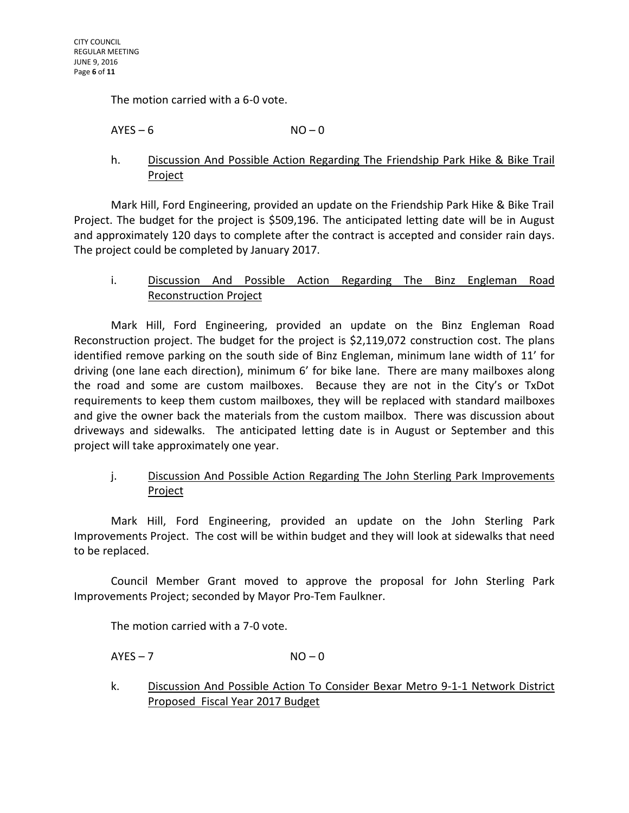The motion carried with a 6-0 vote.

 $AYES - 6$   $NO - 0$ 

# h. Discussion And Possible Action Regarding The Friendship Park Hike & Bike Trail Project

Mark Hill, Ford Engineering, provided an update on the Friendship Park Hike & Bike Trail Project. The budget for the project is \$509,196. The anticipated letting date will be in August and approximately 120 days to complete after the contract is accepted and consider rain days. The project could be completed by January 2017.

# i. Discussion And Possible Action Regarding The Binz Engleman Road Reconstruction Project

Mark Hill, Ford Engineering, provided an update on the Binz Engleman Road Reconstruction project. The budget for the project is \$2,119,072 construction cost. The plans identified remove parking on the south side of Binz Engleman, minimum lane width of 11' for driving (one lane each direction), minimum 6' for bike lane. There are many mailboxes along the road and some are custom mailboxes. Because they are not in the City's or TxDot requirements to keep them custom mailboxes, they will be replaced with standard mailboxes and give the owner back the materials from the custom mailbox. There was discussion about driveways and sidewalks. The anticipated letting date is in August or September and this project will take approximately one year.

# j. Discussion And Possible Action Regarding The John Sterling Park Improvements Project

Mark Hill, Ford Engineering, provided an update on the John Sterling Park Improvements Project. The cost will be within budget and they will look at sidewalks that need to be replaced.

Council Member Grant moved to approve the proposal for John Sterling Park Improvements Project; seconded by Mayor Pro-Tem Faulkner.

The motion carried with a 7-0 vote.

 $AYES - 7$   $NO - 0$ 

k. Discussion And Possible Action To Consider Bexar Metro 9-1-1 Network District Proposed Fiscal Year 2017 Budget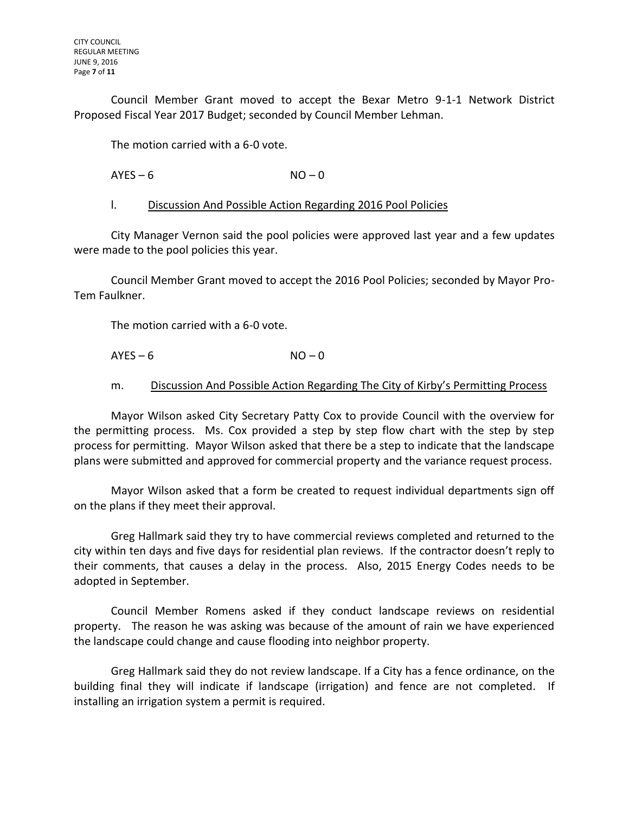Council Member Grant moved to accept the Bexar Metro 9-1-1 Network District Proposed Fiscal Year 2017 Budget; seconded by Council Member Lehman.

The motion carried with a 6-0 vote.

 $AYES - 6$   $NO - 0$ 

#### l. Discussion And Possible Action Regarding 2016 Pool Policies

City Manager Vernon said the pool policies were approved last year and a few updates were made to the pool policies this year.

Council Member Grant moved to accept the 2016 Pool Policies; seconded by Mayor Pro-Tem Faulkner.

The motion carried with a 6-0 vote.

 $AYES - 6$  NO – 0

## m. Discussion And Possible Action Regarding The City of Kirby's Permitting Process

Mayor Wilson asked City Secretary Patty Cox to provide Council with the overview for the permitting process. Ms. Cox provided a step by step flow chart with the step by step process for permitting. Mayor Wilson asked that there be a step to indicate that the landscape plans were submitted and approved for commercial property and the variance request process.

Mayor Wilson asked that a form be created to request individual departments sign off on the plans if they meet their approval.

Greg Hallmark said they try to have commercial reviews completed and returned to the city within ten days and five days for residential plan reviews. If the contractor doesn't reply to their comments, that causes a delay in the process. Also, 2015 Energy Codes needs to be adopted in September.

Council Member Romens asked if they conduct landscape reviews on residential property. The reason he was asking was because of the amount of rain we have experienced the landscape could change and cause flooding into neighbor property.

Greg Hallmark said they do not review landscape. If a City has a fence ordinance, on the building final they will indicate if landscape (irrigation) and fence are not completed. If installing an irrigation system a permit is required.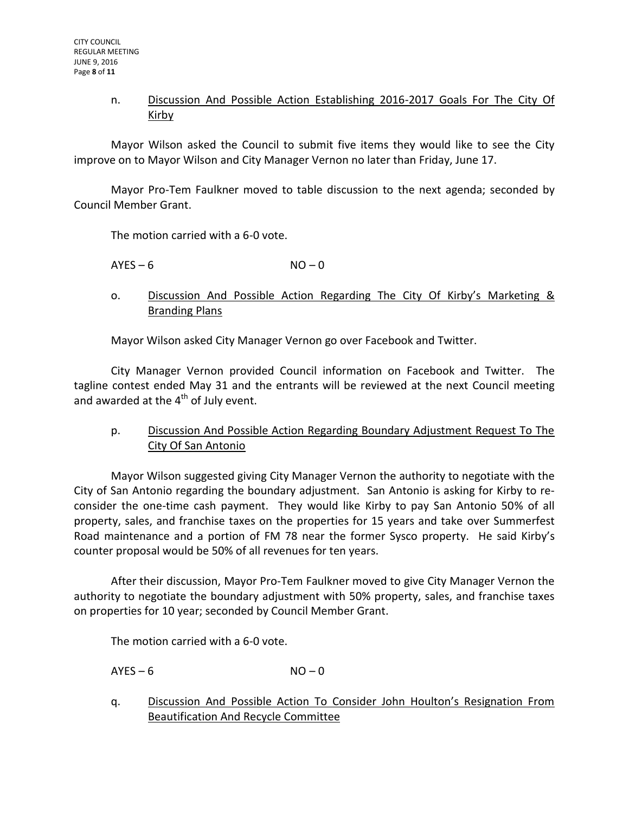## n. Discussion And Possible Action Establishing 2016-2017 Goals For The City Of Kirby

Mayor Wilson asked the Council to submit five items they would like to see the City improve on to Mayor Wilson and City Manager Vernon no later than Friday, June 17.

Mayor Pro-Tem Faulkner moved to table discussion to the next agenda; seconded by Council Member Grant.

The motion carried with a 6-0 vote.

 $AYES - 6$   $NO - 0$ 

o. Discussion And Possible Action Regarding The City Of Kirby's Marketing & Branding Plans

Mayor Wilson asked City Manager Vernon go over Facebook and Twitter.

City Manager Vernon provided Council information on Facebook and Twitter. The tagline contest ended May 31 and the entrants will be reviewed at the next Council meeting and awarded at the  $4<sup>th</sup>$  of July event.

p. Discussion And Possible Action Regarding Boundary Adjustment Request To The City Of San Antonio

Mayor Wilson suggested giving City Manager Vernon the authority to negotiate with the City of San Antonio regarding the boundary adjustment. San Antonio is asking for Kirby to reconsider the one-time cash payment. They would like Kirby to pay San Antonio 50% of all property, sales, and franchise taxes on the properties for 15 years and take over Summerfest Road maintenance and a portion of FM 78 near the former Sysco property. He said Kirby's counter proposal would be 50% of all revenues for ten years.

After their discussion, Mayor Pro-Tem Faulkner moved to give City Manager Vernon the authority to negotiate the boundary adjustment with 50% property, sales, and franchise taxes on properties for 10 year; seconded by Council Member Grant.

The motion carried with a 6-0 vote.

 $AYES - 6$   $NO - 0$ 

q. Discussion And Possible Action To Consider John Houlton's Resignation From Beautification And Recycle Committee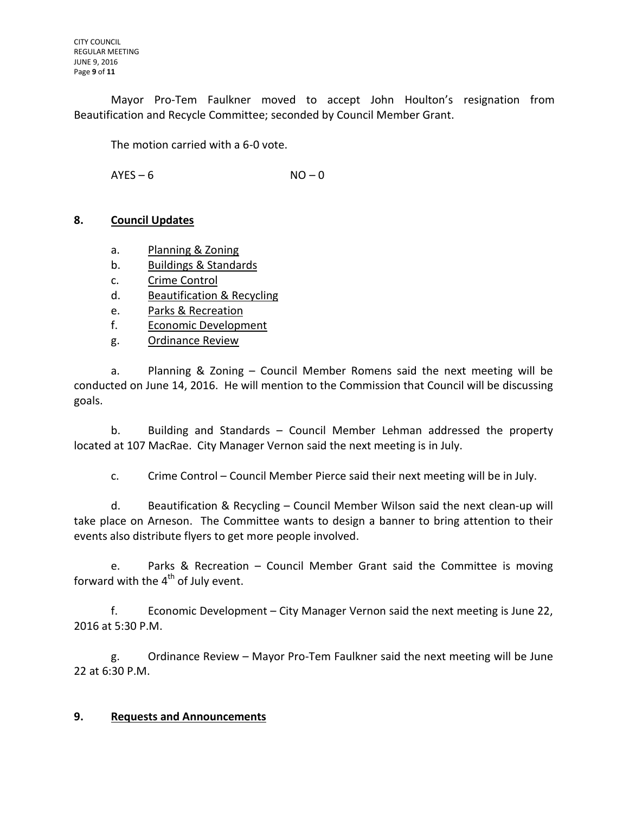Mayor Pro-Tem Faulkner moved to accept John Houlton's resignation from Beautification and Recycle Committee; seconded by Council Member Grant.

The motion carried with a 6-0 vote.

 $AYES - 6$   $NO - 0$ 

## **8. Council Updates**

- a. Planning & Zoning
- b. Buildings & Standards
- c. Crime Control
- d. Beautification & Recycling
- e. Parks & Recreation
- f. Economic Development
- g. Ordinance Review

a. Planning & Zoning – Council Member Romens said the next meeting will be conducted on June 14, 2016. He will mention to the Commission that Council will be discussing goals.

b. Building and Standards – Council Member Lehman addressed the property located at 107 MacRae. City Manager Vernon said the next meeting is in July.

c. Crime Control – Council Member Pierce said their next meeting will be in July.

d. Beautification & Recycling – Council Member Wilson said the next clean-up will take place on Arneson. The Committee wants to design a banner to bring attention to their events also distribute flyers to get more people involved.

e. Parks & Recreation – Council Member Grant said the Committee is moving forward with the  $4^{\text{th}}$  of July event.

f. Economic Development – City Manager Vernon said the next meeting is June 22, 2016 at 5:30 P.M.

g. Ordinance Review – Mayor Pro-Tem Faulkner said the next meeting will be June 22 at 6:30 P.M.

## **9. Requests and Announcements**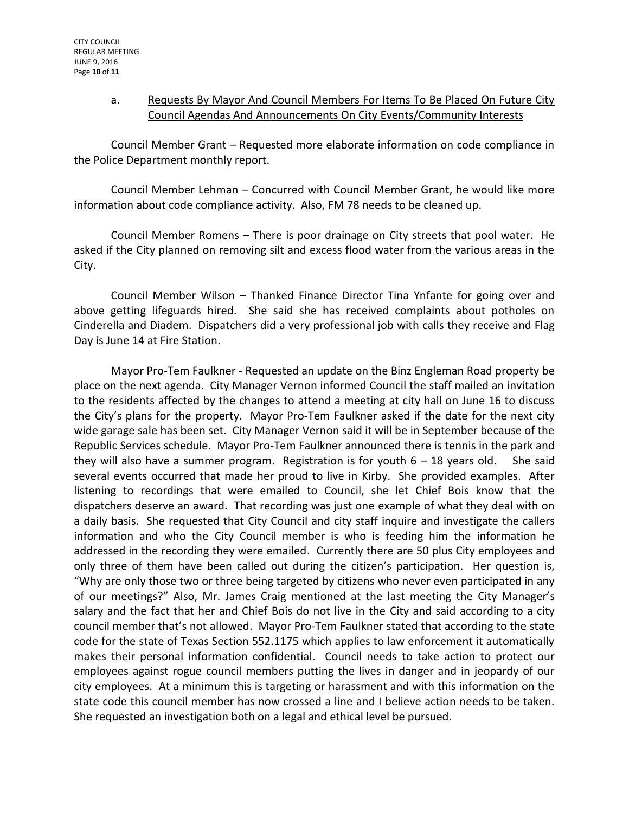## a. Requests By Mayor And Council Members For Items To Be Placed On Future City Council Agendas And Announcements On City Events/Community Interests

Council Member Grant – Requested more elaborate information on code compliance in the Police Department monthly report.

Council Member Lehman – Concurred with Council Member Grant, he would like more information about code compliance activity. Also, FM 78 needs to be cleaned up.

Council Member Romens – There is poor drainage on City streets that pool water. He asked if the City planned on removing silt and excess flood water from the various areas in the City.

Council Member Wilson – Thanked Finance Director Tina Ynfante for going over and above getting lifeguards hired. She said she has received complaints about potholes on Cinderella and Diadem. Dispatchers did a very professional job with calls they receive and Flag Day is June 14 at Fire Station.

Mayor Pro-Tem Faulkner - Requested an update on the Binz Engleman Road property be place on the next agenda. City Manager Vernon informed Council the staff mailed an invitation to the residents affected by the changes to attend a meeting at city hall on June 16 to discuss the City's plans for the property. Mayor Pro-Tem Faulkner asked if the date for the next city wide garage sale has been set. City Manager Vernon said it will be in September because of the Republic Services schedule. Mayor Pro-Tem Faulkner announced there is tennis in the park and they will also have a summer program. Registration is for youth  $6 - 18$  years old. She said several events occurred that made her proud to live in Kirby. She provided examples. After listening to recordings that were emailed to Council, she let Chief Bois know that the dispatchers deserve an award. That recording was just one example of what they deal with on a daily basis. She requested that City Council and city staff inquire and investigate the callers information and who the City Council member is who is feeding him the information he addressed in the recording they were emailed. Currently there are 50 plus City employees and only three of them have been called out during the citizen's participation. Her question is, "Why are only those two or three being targeted by citizens who never even participated in any of our meetings?" Also, Mr. James Craig mentioned at the last meeting the City Manager's salary and the fact that her and Chief Bois do not live in the City and said according to a city council member that's not allowed. Mayor Pro-Tem Faulkner stated that according to the state code for the state of Texas Section 552.1175 which applies to law enforcement it automatically makes their personal information confidential. Council needs to take action to protect our employees against rogue council members putting the lives in danger and in jeopardy of our city employees. At a minimum this is targeting or harassment and with this information on the state code this council member has now crossed a line and I believe action needs to be taken. She requested an investigation both on a legal and ethical level be pursued.